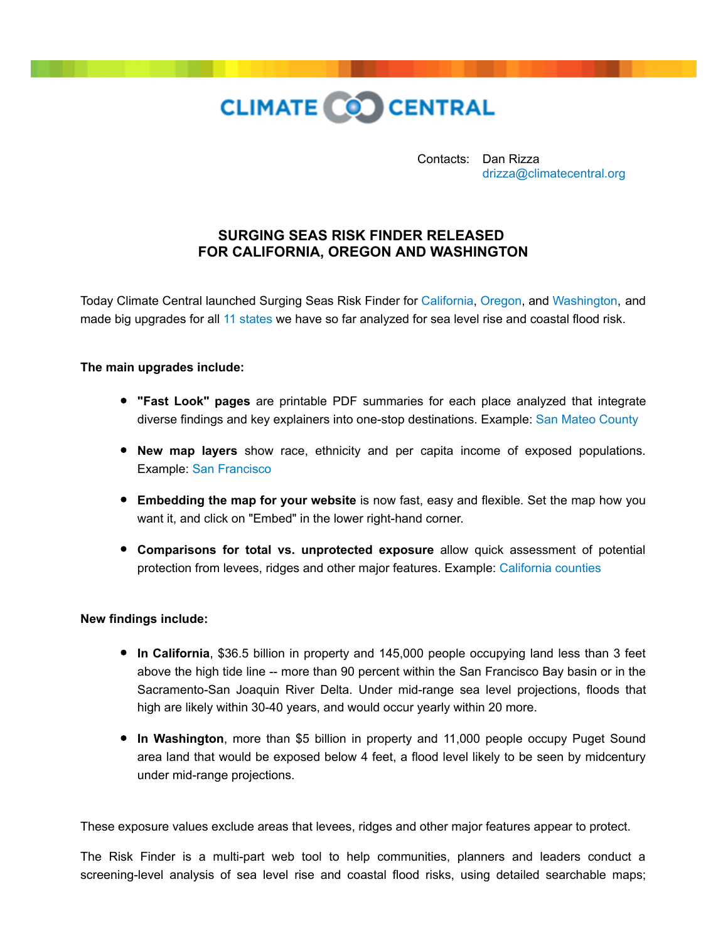

Contacts: Dan Rizza [drizza@climatecentral.org](mailto:drizza@climatecentral.org)

## **SURGING SEAS RISK FINDER RELEASED FOR CALIFORNIA, OREGON AND WASHINGTON**

Today Climate Central launched Surging Seas Risk Finder for [California,](http://sealevel.climatecentral.org/ssrf/california) [Oregon,](http://sealevel.climatecentral.org/ssrf/oregon) and [Washington,](http://sealevel.climatecentral.org/ssrf/washington) and made big upgrades for all [11 states](http://sealevel.climatecentral.org/) we have so far analyzed for sea level rise and coastal flood risk.

## **The main upgrades include:**

- **"Fast Look" pages** are printable PDF summaries for each place analyzed that integrate diverse findings and key explainers into one-stop destinations. Example: [San Mateo County](http://ssrf.climatecentral.org.s3-website-us-east-1.amazonaws.com/Buffer2/states/CA/downloads/pdf_reports/County/CA_San_Mateo_County-report.pdf)
- **New map layers** show race, ethnicity and per capita income of exposed populations. Example: [San Francisco](http://ss2.climatecentral.org/#14/37.7809/-122.3931?show=ethnicity&level=10&pois=hide)
- **Embedding the map for your website** is now fast, easy and flexible. Set the map how you want it, and click on "Embed" in the lower right-hand corner.
- **Comparisons for total vs. unprotected exposure** allow quick assessment of potential protection from levees, ridges and other major features. Example: [California counties](http://ssrf.climatecentral.org/#state=California&level=3&geo=County&pt=t&target=&p=S&protection=tidelcontiglevees&location=CA_County_06081&category=Population&folder=Population)

## **New findings include:**

- **In California**, \$36.5 billion in property and 145,000 people occupying land less than 3 feet above the high tide line -- more than 90 percent within the San Francisco Bay basin or in the Sacramento-San Joaquin River Delta. Under mid-range sea level projections, floods that high are likely within 30-40 years, and would occur yearly within 20 more.
- **In Washington**, more than \$5 billion in property and 11,000 people occupy Puget Sound area land that would be exposed below 4 feet, a flood level likely to be seen by midcentury under mid-range projections.

These exposure values exclude areas that levees, ridges and other major features appear to protect.

The Risk Finder is a multi-part web tool to help communities, planners and leaders conduct a screening-level analysis of sea level rise and coastal flood risks, using detailed searchable maps;